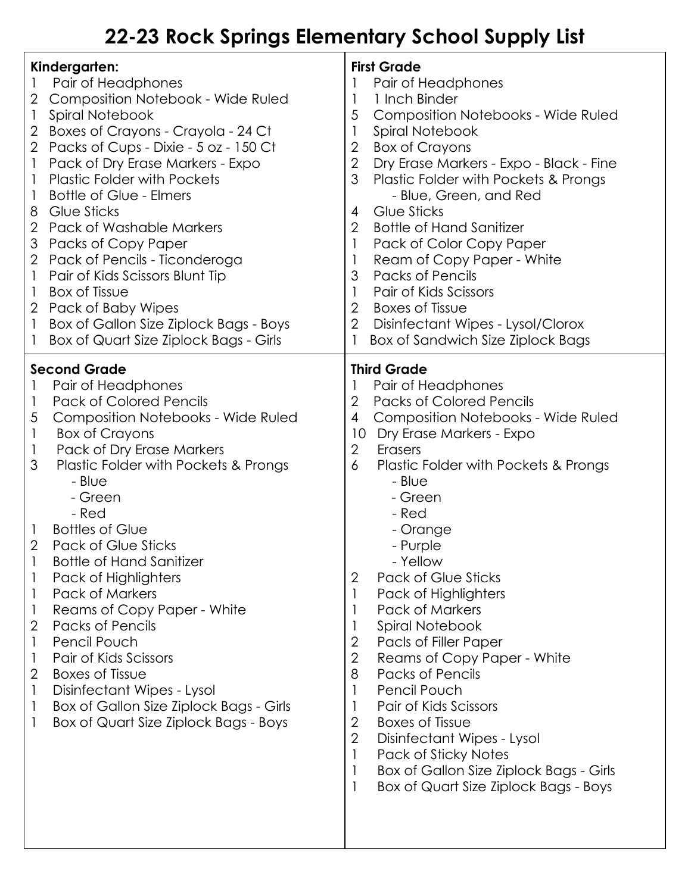## **22-23 Rock Springs Elementary School Supply List**

| Kindergarten:<br>Pair of Headphones<br>Composition Notebook - Wide Ruled<br>2<br>Spiral Notebook<br>1<br>Boxes of Crayons - Crayola - 24 Ct<br>2<br>Packs of Cups - Dixie - 5 oz - 150 Ct<br>2<br>Pack of Dry Erase Markers - Expo<br>1<br><b>Plastic Folder with Pockets</b><br>1<br>Bottle of Glue - Elmers<br>1<br><b>Glue Sticks</b><br>8<br>$\overline{2}$<br><b>Pack of Washable Markers</b><br>Packs of Copy Paper<br>3<br>Pack of Pencils - Ticonderoga<br>2<br>Pair of Kids Scissors Blunt Tip<br>1<br><b>Box of Tissue</b><br>1<br>Pack of Baby Wipes<br>$\overline{2}$<br>Box of Gallon Size Ziplock Bags - Boys<br>1<br>Box of Quart Size Ziplock Bags - Girls<br>1                                                                              | <b>First Grade</b><br>Pair of Headphones<br>1 Inch Binder<br>1<br>5<br><b>Composition Notebooks - Wide Ruled</b><br>1<br>Spiral Notebook<br>$\overline{2}$<br><b>Box of Crayons</b><br>$\overline{2}$<br>Dry Erase Markers - Expo - Black - Fine<br>3<br>Plastic Folder with Pockets & Prongs<br>- Blue, Green, and Red<br>Glue Sticks<br>4<br>$\overline{2}$<br><b>Bottle of Hand Sanitizer</b><br>Pack of Color Copy Paper<br>$\mathbf{1}$<br>Ream of Copy Paper - White<br>1<br>3<br><b>Packs of Pencils</b><br>Pair of Kids Scissors<br>$\mathbf{1}$<br>$\overline{2}$<br><b>Boxes of Tissue</b><br>$\overline{2}$<br>Disinfectant Wipes - Lysol/Clorox<br>Box of Sandwich Size Ziplock Bags                                                                                                                                                  |
|--------------------------------------------------------------------------------------------------------------------------------------------------------------------------------------------------------------------------------------------------------------------------------------------------------------------------------------------------------------------------------------------------------------------------------------------------------------------------------------------------------------------------------------------------------------------------------------------------------------------------------------------------------------------------------------------------------------------------------------------------------------|---------------------------------------------------------------------------------------------------------------------------------------------------------------------------------------------------------------------------------------------------------------------------------------------------------------------------------------------------------------------------------------------------------------------------------------------------------------------------------------------------------------------------------------------------------------------------------------------------------------------------------------------------------------------------------------------------------------------------------------------------------------------------------------------------------------------------------------------------|
| <b>Second Grade</b><br>Pair of Headphones<br><b>Pack of Colored Pencils</b><br>1<br><b>Composition Notebooks - Wide Ruled</b><br>5<br><b>Box of Crayons</b><br>1<br>Pack of Dry Erase Markers<br>1<br>3<br>Plastic Folder with Pockets & Prongs<br>- Blue<br>- Green<br>- Red<br><b>Bottles of Glue</b><br>1<br>$\overline{2}$<br><b>Pack of Glue Sticks</b><br>Bottle of Hand Sanitizer<br>Pack of Highlighters<br><b>Pack of Markers</b><br>1<br>Reams of Copy Paper - White<br>1<br>$\overline{2}$<br><b>Packs of Pencils</b><br>Pencil Pouch<br>1<br>Pair of Kids Scissors<br>1<br>$\sqrt{2}$<br><b>Boxes of Tissue</b><br>Disinfectant Wipes - Lysol<br>1<br>Box of Gallon Size Ziplock Bags - Girls<br>1<br>Box of Quart Size Ziplock Bags - Boys<br>1 | <b>Third Grade</b><br>Pair of Headphones<br>$\overline{2}$<br><b>Packs of Colored Pencils</b><br><b>Composition Notebooks - Wide Ruled</b><br>$\overline{4}$<br>Dry Erase Markers - Expo<br>10<br>$\overline{2}$<br>Erasers<br>6<br>Plastic Folder with Pockets & Prongs<br>- Blue<br>- Green<br>- Red<br>- Orange<br>- Purple<br>- Yellow<br>Pack of Glue Sticks<br>$\overline{2}$<br>1<br>Pack of Highlighters<br>Pack of Markers<br>1<br>Spiral Notebook<br>1<br>$\overline{2}$<br>Pacls of Filler Paper<br>$\mathbf{2}$<br>Reams of Copy Paper - White<br>8<br>Packs of Pencils<br>Pencil Pouch<br>Pair of Kids Scissors<br>1<br>2<br><b>Boxes of Tissue</b><br>$\overline{2}$<br>Disinfectant Wipes - Lysol<br>Pack of Sticky Notes<br>$\mathbf{1}$<br>Box of Gallon Size Ziplock Bags - Girls<br>Box of Quart Size Ziplock Bags - Boys<br>1 |